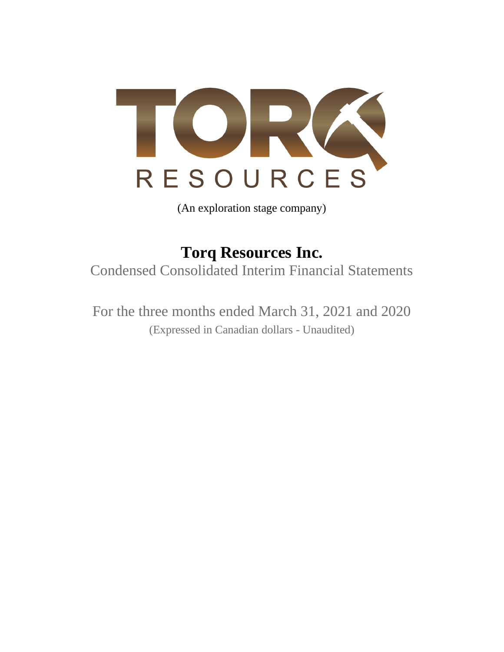

(An exploration stage company)

**Torq Resources Inc.** Condensed Consolidated Interim Financial Statements

For the three months ended March 31, 2021 and 2020 (Expressed in Canadian dollars - Unaudited)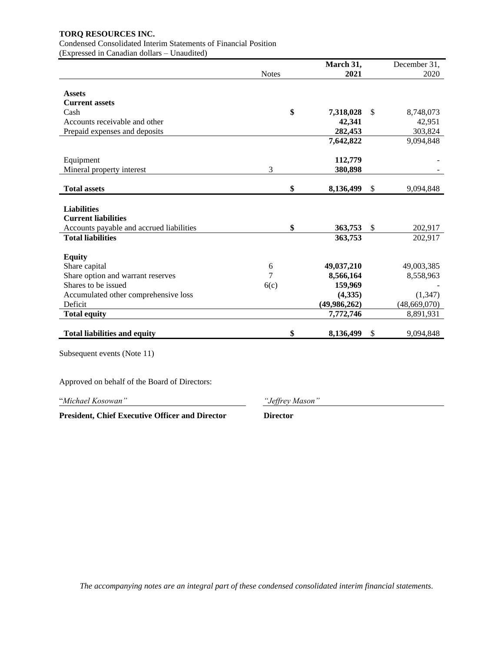# Condensed Consolidated Interim Statements of Financial Position

(Expressed in Canadian dollars – Unaudited)

|                                               |                 | March 31,      | December 31,    |
|-----------------------------------------------|-----------------|----------------|-----------------|
|                                               | <b>Notes</b>    | 2021           | 2020            |
|                                               |                 |                |                 |
| <b>Assets</b>                                 |                 |                |                 |
| <b>Current assets</b>                         |                 |                |                 |
| Cash                                          | \$              | 7,318,028      | \$<br>8,748,073 |
| Accounts receivable and other                 |                 | 42,341         | 42,951          |
| Prepaid expenses and deposits                 |                 | 282,453        | 303,824         |
|                                               |                 | 7,642,822      | 9,094,848       |
|                                               |                 |                |                 |
| Equipment                                     |                 | 112,779        |                 |
| Mineral property interest                     | 3               | 380,898        |                 |
| <b>Total assets</b>                           | \$              | 8,136,499      | \$<br>9,094,848 |
|                                               |                 |                |                 |
| <b>Liabilities</b>                            |                 |                |                 |
| <b>Current liabilities</b>                    |                 |                |                 |
| Accounts payable and accrued liabilities      | \$              | 363,753        | \$<br>202,917   |
| <b>Total liabilities</b>                      |                 | 363,753        | 202,917         |
|                                               |                 |                |                 |
| <b>Equity</b>                                 |                 |                |                 |
| Share capital                                 | 6               | 49,037,210     | 49,003,385      |
| Share option and warrant reserves             | 7               | 8,566,164      | 8,558,963       |
| Shares to be issued                           | 6(c)            | 159,969        |                 |
| Accumulated other comprehensive loss          |                 | (4,335)        | (1, 347)        |
| Deficit                                       |                 | (49, 986, 262) | (48, 669, 070)  |
| <b>Total equity</b>                           |                 | 7,772,746      | 8,891,931       |
|                                               |                 |                |                 |
| <b>Total liabilities and equity</b>           | \$              | 8,136,499      | \$<br>9,094,848 |
| Subsequent events (Note 11)                   |                 |                |                 |
|                                               |                 |                |                 |
| Approved on behalf of the Board of Directors: |                 |                |                 |
| "Michael Kosowan"                             | "Jeffrey Mason" |                |                 |

**President, Chief Executive Officer and Director Director**

 *The accompanying notes are an integral part of these condensed consolidated interim financial statements.*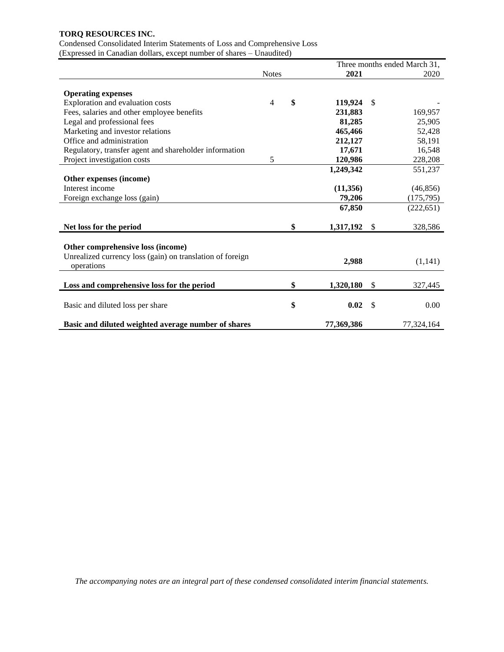Condensed Consolidated Interim Statements of Loss and Comprehensive Loss (Expressed in Canadian dollars, except number of shares – Unaudited)

|                                                           | Three months ended March 31, |    |            |    |            |
|-----------------------------------------------------------|------------------------------|----|------------|----|------------|
|                                                           | <b>Notes</b>                 |    | 2021       |    | 2020       |
|                                                           |                              |    |            |    |            |
| <b>Operating expenses</b>                                 | 4                            | \$ |            | \$ |            |
| Exploration and evaluation costs                          |                              |    | 119,924    |    |            |
| Fees, salaries and other employee benefits                |                              |    | 231,883    |    | 169,957    |
| Legal and professional fees                               |                              |    | 81,285     |    | 25,905     |
| Marketing and investor relations                          |                              |    | 465,466    |    | 52,428     |
| Office and administration                                 |                              |    | 212,127    |    | 58,191     |
| Regulatory, transfer agent and shareholder information    |                              |    | 17,671     |    | 16,548     |
| Project investigation costs                               | 5                            |    | 120,986    |    | 228,208    |
|                                                           |                              |    | 1,249,342  |    | 551,237    |
| Other expenses (income)                                   |                              |    |            |    |            |
| Interest income                                           |                              |    | (11,356)   |    | (46, 856)  |
| Foreign exchange loss (gain)                              |                              |    | 79,206     |    | (175, 795) |
|                                                           |                              |    | 67,850     |    | (222, 651) |
|                                                           |                              |    |            |    |            |
| Net loss for the period                                   |                              | \$ | 1,317,192  | \$ | 328,586    |
|                                                           |                              |    |            |    |            |
| Other comprehensive loss (income)                         |                              |    |            |    |            |
| Unrealized currency loss (gain) on translation of foreign |                              |    |            |    |            |
| operations                                                |                              |    | 2,988      |    | (1,141)    |
|                                                           |                              |    |            |    |            |
| Loss and comprehensive loss for the period                |                              | \$ | 1,320,180  | \$ | 327,445    |
|                                                           |                              |    |            |    |            |
| Basic and diluted loss per share                          |                              | \$ | 0.02       | \$ | 0.00       |
|                                                           |                              |    |            |    |            |
| Basic and diluted weighted average number of shares       |                              |    | 77,369,386 |    | 77,324,164 |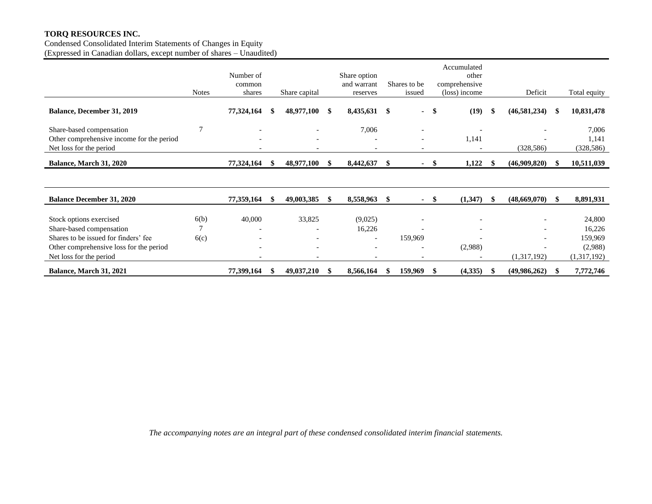Condensed Consolidated Interim Statements of Changes in Equity (Expressed in Canadian dollars, except number of shares – Unaudited)

|                                                                                                  | <b>Notes</b>   | Number of<br>common<br>shares |     | Share capital            |      | Share option<br>and warrant<br>reserves |      | Shares to be<br>issued                                   |      | Accumulated<br>other<br>comprehensive<br>(loss) income |               | Deficit                  |     | Total equity                 |
|--------------------------------------------------------------------------------------------------|----------------|-------------------------------|-----|--------------------------|------|-----------------------------------------|------|----------------------------------------------------------|------|--------------------------------------------------------|---------------|--------------------------|-----|------------------------------|
| <b>Balance, December 31, 2019</b>                                                                |                | 77,324,164                    |     | 48,977,100               | -S   | 8,435,631                               | - \$ | ٠                                                        | \$   | (19)                                                   | -\$           | (46,581,234)             |     | 10,831,478                   |
| Share-based compensation<br>Other comprehensive income for the period<br>Net loss for the period | $\overline{7}$ | $\overline{a}$                |     |                          |      | 7,006<br>$\overline{\phantom{a}}$       |      | $\overline{\phantom{0}}$<br>$\qquad \qquad \blacksquare$ |      | 1,141<br>$\overline{\phantom{a}}$                      |               | (328, 586)               |     | 7,006<br>1,141<br>(328, 586) |
| Balance, March 31, 2020                                                                          |                | 77,324,164                    |     | 48,977,100               | - \$ | 8,442,637                               | \$.  | ۰.                                                       | -SS  | 1,122                                                  | -S            | (46,909,820)             |     | 10,511,039                   |
|                                                                                                  |                |                               |     |                          |      |                                         |      |                                                          |      |                                                        |               |                          |     |                              |
| <b>Balance December 31, 2020</b>                                                                 |                | 77,359,164                    | \$. | 49,003,385               | -S   | 8,558,963                               | - \$ | $\sim$                                                   | - \$ | (1,347)                                                | <sup>\$</sup> | (48,669,070)             | -SS | 8,891,931                    |
| Stock options exercised                                                                          | 6(b)           | 40,000                        |     | 33,825                   |      | (9,025)                                 |      |                                                          |      |                                                        |               |                          |     | 24,800                       |
| Share-based compensation                                                                         | 7              | $\overline{\phantom{a}}$      |     | $\overline{\phantom{0}}$ |      | 16,226                                  |      |                                                          |      |                                                        |               |                          |     | 16,226                       |
| Shares to be issued for finders' fee                                                             | 6(c)           |                               |     |                          |      | $\overline{\phantom{a}}$                |      | 159,969                                                  |      |                                                        |               | $\overline{\phantom{0}}$ |     | 159,969                      |
| Other comprehensive loss for the period                                                          |                | $\overline{\phantom{0}}$      |     |                          |      |                                         |      | ٠                                                        |      | (2,988)                                                |               |                          |     | (2,988)                      |
| Net loss for the period                                                                          |                | $\overline{\phantom{0}}$      |     |                          |      |                                         |      |                                                          |      |                                                        |               | (1,317,192)              |     | (1,317,192)                  |
| Balance, March 31, 2021                                                                          |                | 77,399,164                    |     | 49,037,210               | -SS  | 8,566,164                               | S    | 159,969                                                  | -8   | (4,335)                                                | - 55          | (49,986,262)             |     | 7,772,746                    |

*The accompanying notes are an integral part of these condensed consolidated interim financial statements.*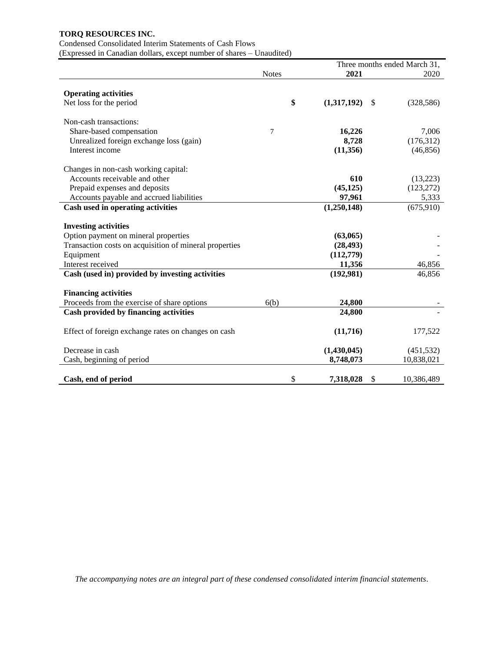### Condensed Consolidated Interim Statements of Cash Flows

(Expressed in Canadian dollars, except number of shares – Unaudited)

|                                                        | Three months ended March 31, |             |              |            |  |  |
|--------------------------------------------------------|------------------------------|-------------|--------------|------------|--|--|
|                                                        | <b>Notes</b>                 | 2020        |              |            |  |  |
|                                                        |                              |             |              |            |  |  |
| <b>Operating activities</b>                            |                              |             |              |            |  |  |
| Net loss for the period                                | \$                           | (1,317,192) | $\mathbb{S}$ | (328, 586) |  |  |
| Non-cash transactions:                                 |                              |             |              |            |  |  |
| Share-based compensation                               | 7                            | 16,226      |              | 7,006      |  |  |
| Unrealized foreign exchange loss (gain)                |                              | 8,728       |              | (176, 312) |  |  |
| Interest income                                        |                              | (11,356)    |              | (46, 856)  |  |  |
| Changes in non-cash working capital:                   |                              |             |              |            |  |  |
| Accounts receivable and other                          |                              | 610         |              | (13,223)   |  |  |
| Prepaid expenses and deposits                          |                              | (45, 125)   |              | (123, 272) |  |  |
| Accounts payable and accrued liabilities               |                              | 97,961      |              | 5,333      |  |  |
| Cash used in operating activities                      |                              | (1,250,148) |              | (675,910)  |  |  |
| <b>Investing activities</b>                            |                              |             |              |            |  |  |
| Option payment on mineral properties                   |                              | (63,065)    |              |            |  |  |
| Transaction costs on acquisition of mineral properties |                              | (28, 493)   |              |            |  |  |
| Equipment                                              |                              | (112,779)   |              |            |  |  |
| Interest received                                      |                              | 11,356      |              | 46,856     |  |  |
| Cash (used in) provided by investing activities        |                              | (192,981)   |              | 46,856     |  |  |
|                                                        |                              |             |              |            |  |  |
| <b>Financing activities</b>                            |                              |             |              |            |  |  |
| Proceeds from the exercise of share options            | 6(b)                         | 24,800      |              |            |  |  |
| Cash provided by financing activities                  |                              | 24,800      |              |            |  |  |
| Effect of foreign exchange rates on changes on cash    |                              | (11,716)    |              | 177,522    |  |  |
| Decrease in cash                                       |                              | (1,430,045) |              | (451, 532) |  |  |
| Cash, beginning of period                              |                              | 8,748,073   |              | 10,838,021 |  |  |
|                                                        |                              |             |              |            |  |  |
| Cash, end of period                                    | \$                           | 7,318,028   | \$           | 10,386,489 |  |  |

*The accompanying notes are an integral part of these condensed consolidated interim financial statements.*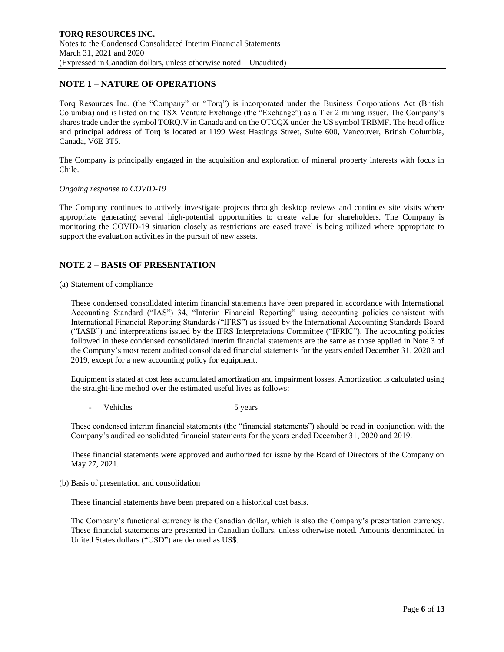# **NOTE 1 – NATURE OF OPERATIONS**

Torq Resources Inc. (the "Company" or "Torq") is incorporated under the Business Corporations Act (British Columbia) and is listed on the TSX Venture Exchange (the "Exchange") as a Tier 2 mining issuer. The Company's shares trade under the symbol TORQ.V in Canada and on the OTCQX under the US symbol TRBMF. The head office and principal address of Torq is located at 1199 West Hastings Street, Suite 600, Vancouver, British Columbia, Canada, V6E 3T5.

The Company is principally engaged in the acquisition and exploration of mineral property interests with focus in Chile.

#### *Ongoing response to COVID-19*

The Company continues to actively investigate projects through desktop reviews and continues site visits where appropriate generating several high-potential opportunities to create value for shareholders. The Company is monitoring the COVID-19 situation closely as restrictions are eased travel is being utilized where appropriate to support the evaluation activities in the pursuit of new assets.

## **NOTE 2 – BASIS OF PRESENTATION**

#### (a) Statement of compliance

These condensed consolidated interim financial statements have been prepared in accordance with International Accounting Standard ("IAS") 34, "Interim Financial Reporting" using accounting policies consistent with International Financial Reporting Standards ("IFRS") as issued by the International Accounting Standards Board ("IASB") and interpretations issued by the IFRS Interpretations Committee ("IFRIC"). The accounting policies followed in these condensed consolidated interim financial statements are the same as those applied in Note 3 of the Company's most recent audited consolidated financial statements for the years ended December 31, 2020 and 2019, except for a new accounting policy for equipment.

Equipment is stated at cost less accumulated amortization and impairment losses. Amortization is calculated using the straight-line method over the estimated useful lives as follows:

Vehicles 5 years 5 years

These condensed interim financial statements (the "financial statements") should be read in conjunction with the Company's audited consolidated financial statements for the years ended December 31, 2020 and 2019.

These financial statements were approved and authorized for issue by the Board of Directors of the Company on May 27, 2021.

(b) Basis of presentation and consolidation

These financial statements have been prepared on a historical cost basis.

The Company's functional currency is the Canadian dollar, which is also the Company's presentation currency. These financial statements are presented in Canadian dollars, unless otherwise noted. Amounts denominated in United States dollars ("USD") are denoted as US\$.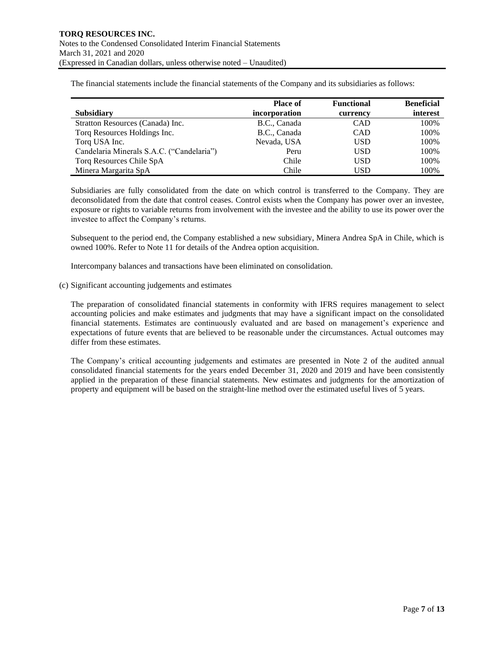The financial statements include the financial statements of the Company and its subsidiaries as follows:

|                                           | <b>Place of</b> | <b>Functional</b> | <b>Beneficial</b> |
|-------------------------------------------|-----------------|-------------------|-------------------|
| <b>Subsidiary</b>                         | incorporation   | currency          | interest          |
| Stratton Resources (Canada) Inc.          | B.C., Canada    | <b>CAD</b>        | 100%              |
| Torq Resources Holdings Inc.              | B.C., Canada    | <b>CAD</b>        | 100%              |
| Torq USA Inc.                             | Nevada, USA     | USD               | 100%              |
| Candelaria Minerals S.A.C. ("Candelaria") | Peru            | USD               | 100%              |
| Torq Resources Chile SpA                  | Chile           | <b>USD</b>        | 100%              |
| Minera Margarita SpA                      | Chile           | USD               | 100%              |

Subsidiaries are fully consolidated from the date on which control is transferred to the Company. They are deconsolidated from the date that control ceases. Control exists when the Company has power over an investee, exposure or rights to variable returns from involvement with the investee and the ability to use its power over the investee to affect the Company's returns.

Subsequent to the period end, the Company established a new subsidiary, Minera Andrea SpA in Chile, which is owned 100%. Refer to Note 11 for details of the Andrea option acquisition.

Intercompany balances and transactions have been eliminated on consolidation.

### (c) Significant accounting judgements and estimates

The preparation of consolidated financial statements in conformity with IFRS requires management to select accounting policies and make estimates and judgments that may have a significant impact on the consolidated financial statements. Estimates are continuously evaluated and are based on management's experience and expectations of future events that are believed to be reasonable under the circumstances. Actual outcomes may differ from these estimates

The Company's critical accounting judgements and estimates are presented in Note 2 of the audited annual consolidated financial statements for the years ended December 31, 2020 and 2019 and have been consistently applied in the preparation of these financial statements. New estimates and judgments for the amortization of property and equipment will be based on the straight-line method over the estimated useful lives of 5 years.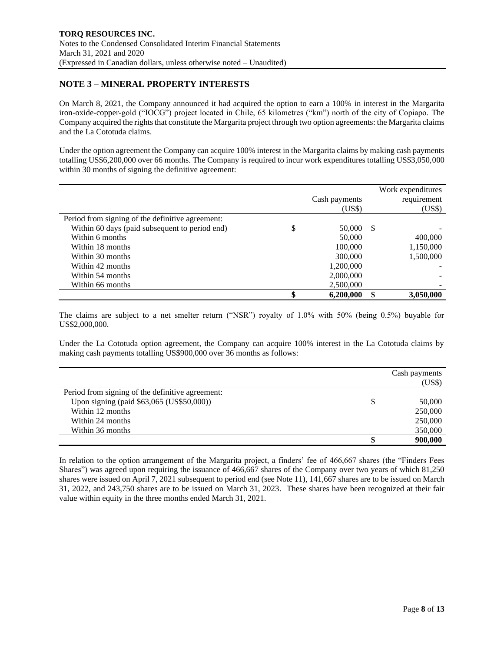# **NOTE 3 – MINERAL PROPERTY INTERESTS**

On March 8, 2021, the Company announced it had acquired the option to earn a 100% in interest in the Margarita iron-oxide-copper-gold ("IOCG") project located in Chile, 65 kilometres ("km") north of the city of Copiapo. The Company acquired the rights that constitute the Margarita project through two option agreements: the Margarita claims and the La Cototuda claims.

Under the option agreement the Company can acquire 100% interest in the Margarita claims by making cash payments totalling US\$6,200,000 over 66 months. The Company is required to incur work expenditures totalling US\$3,050,000 within 30 months of signing the definitive agreement:

|                                                  |               |     | Work expenditures |
|--------------------------------------------------|---------------|-----|-------------------|
|                                                  | Cash payments |     | requirement       |
|                                                  | (US\$)        |     | (US\$)            |
| Period from signing of the definitive agreement: |               |     |                   |
| Within 60 days (paid subsequent to period end)   | \$<br>50,000  | -S  |                   |
| Within 6 months                                  | 50,000        |     | 400,000           |
| Within 18 months                                 | 100,000       |     | 1,150,000         |
| Within 30 months                                 | 300,000       |     | 1,500,000         |
| Within 42 months                                 | 1,200,000     |     |                   |
| Within 54 months                                 | 2,000,000     |     |                   |
| Within 66 months                                 | 2,500,000     |     |                   |
|                                                  | 6,200,000     | -SS | 3,050,000         |

The claims are subject to a net smelter return ("NSR") royalty of 1.0% with 50% (being 0.5%) buyable for US\$2,000,000.

Under the La Cototuda option agreement, the Company can acquire 100% interest in the La Cototuda claims by making cash payments totalling US\$900,000 over 36 months as follows:

|                                                  |   | Cash payments<br>(US\$) |
|--------------------------------------------------|---|-------------------------|
| Period from signing of the definitive agreement: |   |                         |
| Upon signing (paid \$63,065 (US\$50,000))        | S | 50,000                  |
| Within 12 months                                 |   | 250,000                 |
| Within 24 months                                 |   | 250,000                 |
| Within 36 months                                 |   | 350,000                 |
|                                                  |   | 900,000                 |

In relation to the option arrangement of the Margarita project, a finders' fee of 466,667 shares (the "Finders Fees Shares") was agreed upon requiring the issuance of 466,667 shares of the Company over two years of which 81,250 shares were issued on April 7, 2021 subsequent to period end (see Note 11), 141,667 shares are to be issued on March 31, 2022, and 243,750 shares are to be issued on March 31, 2023. These shares have been recognized at their fair value within equity in the three months ended March 31, 2021.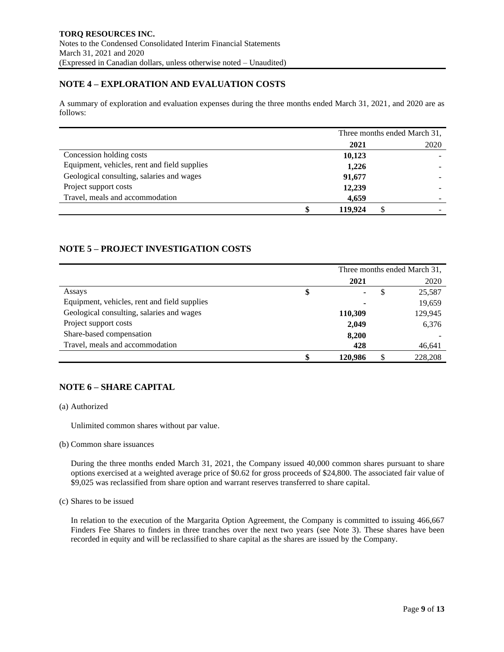# **NOTE 4 – EXPLORATION AND EVALUATION COSTS**

A summary of exploration and evaluation expenses during the three months ended March 31, 2021, and 2020 are as follows:

|                                              | Three months ended March 31, |   |      |
|----------------------------------------------|------------------------------|---|------|
|                                              | 2021                         |   | 2020 |
| Concession holding costs                     | 10,123                       |   |      |
| Equipment, vehicles, rent and field supplies | 1,226                        |   |      |
| Geological consulting, salaries and wages    | 91,677                       |   |      |
| Project support costs                        | 12,239                       |   |      |
| Travel, meals and accommodation              | 4,659                        |   |      |
|                                              | 119.924                      | S |      |

# **NOTE 5 – PROJECT INVESTIGATION COSTS**

|                                              |               | Three months ended March 31, |         |  |  |  |
|----------------------------------------------|---------------|------------------------------|---------|--|--|--|
|                                              | 2021          |                              | 2020    |  |  |  |
| Assays                                       | \$            | S                            | 25,587  |  |  |  |
| Equipment, vehicles, rent and field supplies |               |                              | 19,659  |  |  |  |
| Geological consulting, salaries and wages    | 110,309       |                              | 129,945 |  |  |  |
| Project support costs                        | 2,049         |                              | 6,376   |  |  |  |
| Share-based compensation                     | 8,200         |                              |         |  |  |  |
| Travel, meals and accommodation              | 428           |                              | 46,641  |  |  |  |
|                                              | \$<br>120,986 | S                            | 228,208 |  |  |  |

# **NOTE 6 – SHARE CAPITAL**

### (a) Authorized

Unlimited common shares without par value.

(b) Common share issuances

During the three months ended March 31, 2021, the Company issued 40,000 common shares pursuant to share options exercised at a weighted average price of \$0.62 for gross proceeds of \$24,800. The associated fair value of \$9,025 was reclassified from share option and warrant reserves transferred to share capital.

### (c) Shares to be issued

In relation to the execution of the Margarita Option Agreement, the Company is committed to issuing 466,667 Finders Fee Shares to finders in three tranches over the next two years (see Note 3). These shares have been recorded in equity and will be reclassified to share capital as the shares are issued by the Company.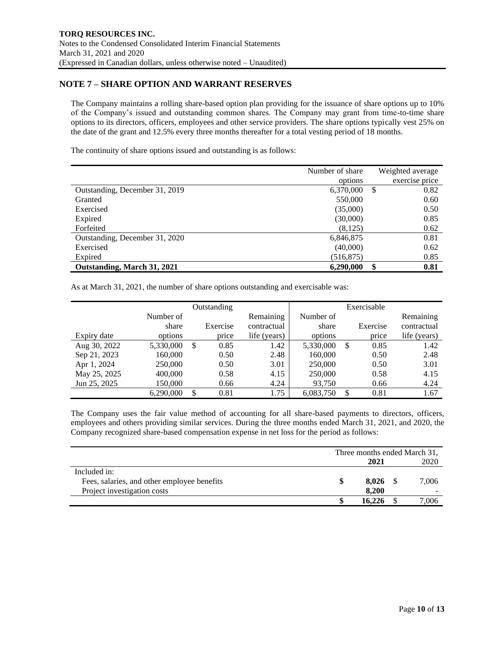# **NOTE 7 – SHARE OPTION AND WARRANT RESERVES**

The Company maintains a rolling share-based option plan providing for the issuance of share options up to 10% of the Company's issued and outstanding common shares. The Company may grant from time-to-time share options to its directors, officers, employees and other service providers. The share options typically vest 25% on the date of the grant and 12.5% every three months thereafter for a total vesting period of 18 months.

The continuity of share options issued and outstanding is as follows:

|                                | Number of share |   | Weighted average |
|--------------------------------|-----------------|---|------------------|
|                                | options         |   | exercise price   |
| Outstanding, December 31, 2019 | 6,370,000       | S | 0.82             |
| Granted                        | 550,000         |   | 0.60             |
| Exercised                      | (35,000)        |   | 0.50             |
| Expired                        | (30,000)        |   | 0.85             |
| Forfeited                      | (8,125)         |   | 0.62             |
| Outstanding, December 31, 2020 | 6,846,875       |   | 0.81             |
| Exercised                      | (40,000)        |   | 0.62             |
| Expired                        | (516, 875)      |   | 0.85             |
| Outstanding, March 31, 2021    | 6,290,000       |   | 0.81             |

As at March 31, 2021, the number of share options outstanding and exercisable was:

|              |           |               | Outstanding |              |           | Exercisable |              |
|--------------|-----------|---------------|-------------|--------------|-----------|-------------|--------------|
|              | Number of |               |             | Remaining    | Number of |             | Remaining    |
|              | share     |               | Exercise    | contractual  | share     | Exercise    | contractual  |
| Expiry date  | options   |               | price       | life (years) | options   | price       | life (years) |
| Aug 30, 2022 | 5,330,000 | <sup>\$</sup> | 0.85        | 1.42         | 5,330,000 | \$<br>0.85  | 1.42         |
| Sep 21, 2023 | 160,000   |               | 0.50        | 2.48         | 160,000   | 0.50        | 2.48         |
| Apr 1, 2024  | 250,000   |               | 0.50        | 3.01         | 250,000   | 0.50        | 3.01         |
| May 25, 2025 | 400,000   |               | 0.58        | 4.15         | 250,000   | 0.58        | 4.15         |
| Jun 25, 2025 | 150,000   |               | 0.66        | 4.24         | 93.750    | 0.66        | 4.24         |
|              | 6,290,000 | \$            | 0.81        | 1.75         | 6.083.750 | \$<br>0.81  | 1.67         |

The Company uses the fair value method of accounting for all share-based payments to directors, officers, employees and others providing similar services. During the three months ended March 31, 2021, and 2020, the Company recognized share-based compensation expense in net loss for the period as follows:

|                                             | Three months ended March 31, |        |  |       |  |
|---------------------------------------------|------------------------------|--------|--|-------|--|
|                                             |                              | 2021   |  | 2020  |  |
| Included in:                                |                              |        |  |       |  |
| Fees, salaries, and other employee benefits | \$                           | 8.026  |  | 7,006 |  |
| Project investigation costs                 |                              | 8.200  |  |       |  |
|                                             |                              | 16.226 |  | ,006  |  |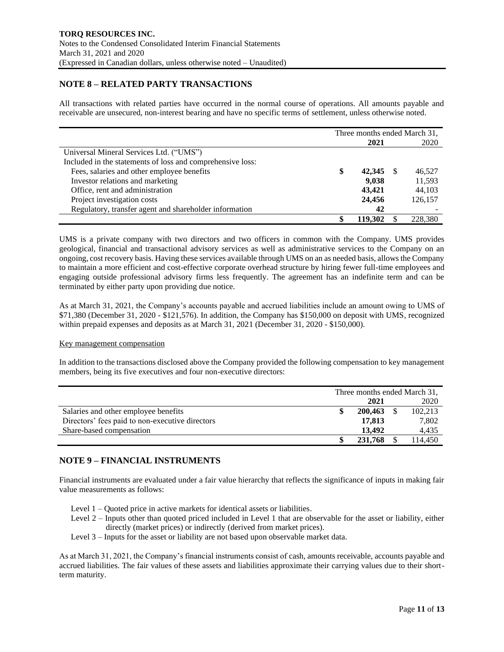# **NOTE 8 – RELATED PARTY TRANSACTIONS**

All transactions with related parties have occurred in the normal course of operations. All amounts payable and receivable are unsecured, non-interest bearing and have no specific terms of settlement, unless otherwise noted.

|                                                            | Three months ended March 31, |  |         |
|------------------------------------------------------------|------------------------------|--|---------|
|                                                            | 2021                         |  | 2020    |
| Universal Mineral Services Ltd. ("UMS")                    |                              |  |         |
| Included in the statements of loss and comprehensive loss: |                              |  |         |
| Fees, salaries and other employee benefits                 | \$<br>42,345                 |  | 46,527  |
| Investor relations and marketing                           | 9.038                        |  | 11,593  |
| Office, rent and administration                            | 43,421                       |  | 44,103  |
| Project investigation costs                                | 24,456                       |  | 126,157 |
| Regulatory, transfer agent and shareholder information     | 42                           |  |         |
|                                                            | 119.302                      |  | 228,380 |

UMS is a private company with two directors and two officers in common with the Company. UMS provides geological, financial and transactional advisory services as well as administrative services to the Company on an ongoing, cost recovery basis. Having these services available through UMS on an as needed basis, allows the Company to maintain a more efficient and cost-effective corporate overhead structure by hiring fewer full-time employees and engaging outside professional advisory firms less frequently. The agreement has an indefinite term and can be terminated by either party upon providing due notice.

As at March 31, 2021, the Company's accounts payable and accrued liabilities include an amount owing to UMS of \$71,380 (December 31, 2020 - \$121,576). In addition, the Company has \$150,000 on deposit with UMS, recognized within prepaid expenses and deposits as at March 31, 2021 (December 31, 2020 - \$150,000).

### Key management compensation

In addition to the transactions disclosed above the Company provided the following compensation to key management members, being its five executives and four non-executive directors:

|                                                 | Three months ended March 31, |         |  |         |
|-------------------------------------------------|------------------------------|---------|--|---------|
|                                                 |                              | 2021    |  | 2020    |
| Salaries and other employee benefits            |                              | 200,463 |  | 102,213 |
| Directors' fees paid to non-executive directors |                              | 17,813  |  | 7,802   |
| Share-based compensation                        |                              | 13.492  |  | 4.435   |
|                                                 |                              | 231,768 |  | 114.450 |

### **NOTE 9 – FINANCIAL INSTRUMENTS**

Financial instruments are evaluated under a fair value hierarchy that reflects the significance of inputs in making fair value measurements as follows:

- Level 1 Quoted price in active markets for identical assets or liabilities.
- Level 2 Inputs other than quoted priced included in Level 1 that are observable for the asset or liability, either directly (market prices) or indirectly (derived from market prices).
- Level 3 Inputs for the asset or liability are not based upon observable market data.

As at March 31, 2021, the Company's financial instruments consist of cash, amounts receivable, accounts payable and accrued liabilities. The fair values of these assets and liabilities approximate their carrying values due to their shortterm maturity.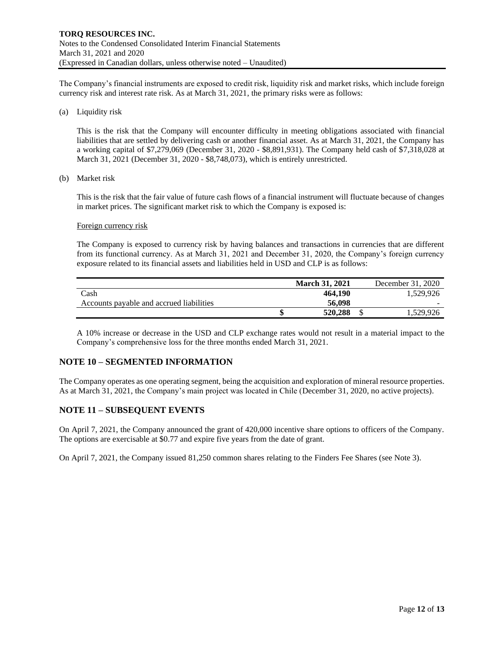The Company's financial instruments are exposed to credit risk, liquidity risk and market risks, which include foreign currency risk and interest rate risk. As at March 31, 2021, the primary risks were as follows:

(a) Liquidity risk

This is the risk that the Company will encounter difficulty in meeting obligations associated with financial liabilities that are settled by delivering cash or another financial asset. As at March 31, 2021, the Company has a working capital of \$7,279,069 (December 31, 2020 - \$8,891,931). The Company held cash of \$7,318,028 at March 31, 2021 (December 31, 2020 - \$8,748,073), which is entirely unrestricted.

(b) Market risk

This is the risk that the fair value of future cash flows of a financial instrument will fluctuate because of changes in market prices. The significant market risk to which the Company is exposed is:

#### Foreign currency risk

The Company is exposed to currency risk by having balances and transactions in currencies that are different from its functional currency. As at March 31, 2021 and December 31, 2020, the Company's foreign currency exposure related to its financial assets and liabilities held in USD and CLP is as follows:

|                                          | <b>March 31, 2021</b> | December 31, 2020 |
|------------------------------------------|-----------------------|-------------------|
| Cash                                     | 464.190               | 1.529.926         |
| Accounts payable and accrued liabilities | 56.098                | $\sim$            |
|                                          | 520,288               | .529,926          |

A 10% increase or decrease in the USD and CLP exchange rates would not result in a material impact to the Company's comprehensive loss for the three months ended March 31, 2021.

## **NOTE 10 – SEGMENTED INFORMATION**

The Company operates as one operating segment, being the acquisition and exploration of mineral resource properties. As at March 31, 2021, the Company's main project was located in Chile (December 31, 2020, no active projects).

### **NOTE 11 – SUBSEQUENT EVENTS**

On April 7, 2021, the Company announced the grant of 420,000 incentive share options to officers of the Company. The options are exercisable at \$0.77 and expire five years from the date of grant.

On April 7, 2021, the Company issued 81,250 common shares relating to the Finders Fee Shares (see Note 3).